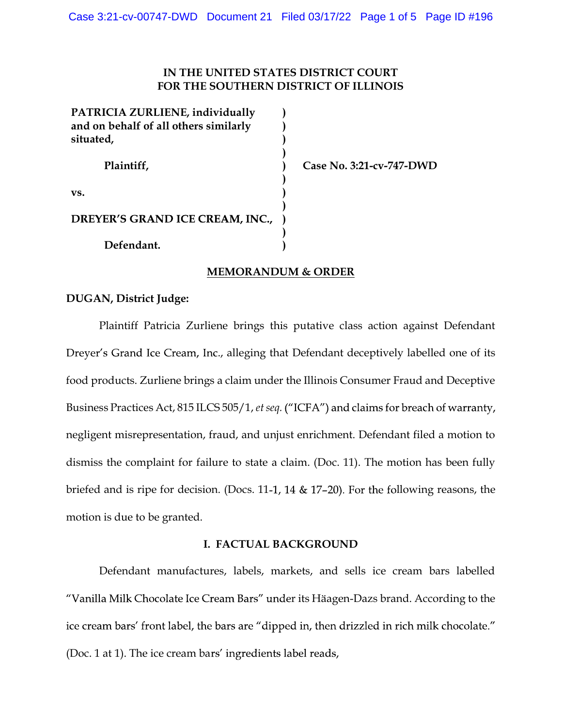## IN THE UNITED STATES DISTRICT COURT FOR THE SOUTHERN DISTRICT OF ILLINOIS

| PATRICIA ZURLIENE, individually<br>and on behalf of all others similarly<br>situated, |  |
|---------------------------------------------------------------------------------------|--|
| Plaintiff,                                                                            |  |
| VS.                                                                                   |  |
| DREYER'S GRAND ICE CREAM, INC.,                                                       |  |
| Defendant.                                                                            |  |

Case No. 3:21-cv-747-DWD

## MEMORANDUM & ORDER

## DUGAN, District Judge:

 Plaintiff Patricia Zurliene brings this putative class action against Defendant Dreyer's Grand Ice Cream, Inc., alleging that Defendant deceptively labelled one of its food products. Zurliene brings a claim under the Illinois Consumer Fraud and Deceptive Business Practices Act, 815 ILCS 505/1, et seq. ("ICFA") and claims for breach of warranty, negligent misrepresentation, fraud, and unjust enrichment. Defendant filed a motion to dismiss the complaint for failure to state a claim. (Doc. 11). The motion has been fully briefed and is ripe for decision. (Docs. 11-1, 14  $\&$  17-20). For the following reasons, the motion is due to be granted.

## I. FACTUAL BACKGROUND

 Defendant manufactures, labels, markets, and sells ice cream bars labelled "Vanilla Milk Chocolate Ice Cream Bars" under its Häagen-Dazs brand. According to the ice cream bars' front label, the bars are "dipped in, then drizzled in rich milk chocolate." (Doc. 1 at 1). The ice cream bars' ingredients label reads,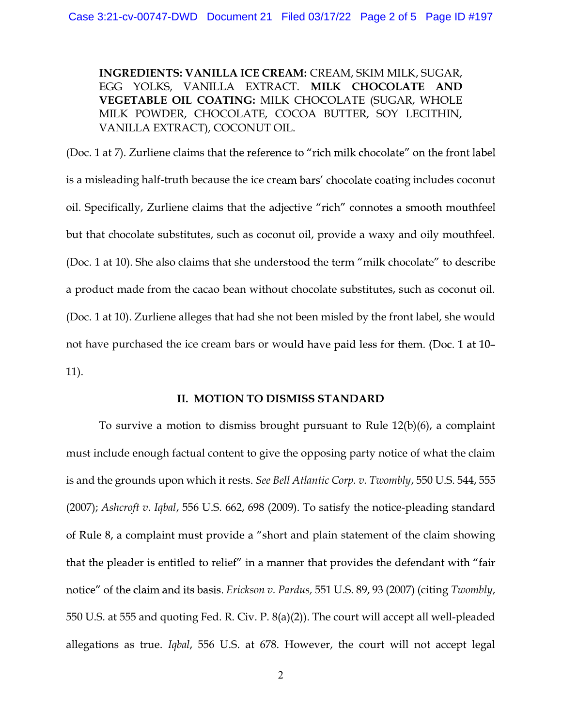INGREDIENTS: VANILLA ICE CREAM: CREAM, SKIM MILK, SUGAR, EGG YOLKS, VANILLA EXTRACT. MILK CHOCOLATE AND VEGETABLE OIL COATING: MILK CHOCOLATE (SUGAR, WHOLE MILK POWDER, CHOCOLATE, COCOA BUTTER, SOY LECITHIN, VANILLA EXTRACT), COCONUT OIL.

(Doc. 1 at 7). Zurliene claims that the reference to "rich milk chocolate" on the front label is a misleading half-truth because the ice cream bars' chocolate coating includes coconut oil. Specifically, Zurliene claims that the adjective "rich" connotes a smooth mouthfeel but that chocolate substitutes, such as coconut oil, provide a waxy and oily mouthfeel. (Doc. 1 at 10). She also claims that she understood the term "milk chocolate" to describe a product made from the cacao bean without chocolate substitutes, such as coconut oil. (Doc. 1 at 10). Zurliene alleges that had she not been misled by the front label, she would not have purchased the ice cream bars or would have paid less for them. (Doc. 1 at 10-11).

# II. MOTION TO DISMISS STANDARD

To survive a motion to dismiss brought pursuant to Rule 12(b)(6), a complaint must include enough factual content to give the opposing party notice of what the claim is and the grounds upon which it rests. See Bell Atlantic Corp. v. Twombly, 550 U.S. 544, 555 (2007); Ashcroft v. Iqbal, 556 U.S. 662, 698 (2009). To satisfy the notice-pleading standard of Rule 8, a complaint must provide a "short and plain statement of the claim showing that the pleader is entitled to relief" in a manner that provides the defendant with "fair notice" of the claim and its basis. Erickson v. Pardus, 551 U.S. 89, 93 (2007) (citing Twombly, 550 U.S. at 555 and quoting Fed. R. Civ. P. 8(a)(2)). The court will accept all well-pleaded allegations as true. Iqbal, 556 U.S. at 678. However, the court will not accept legal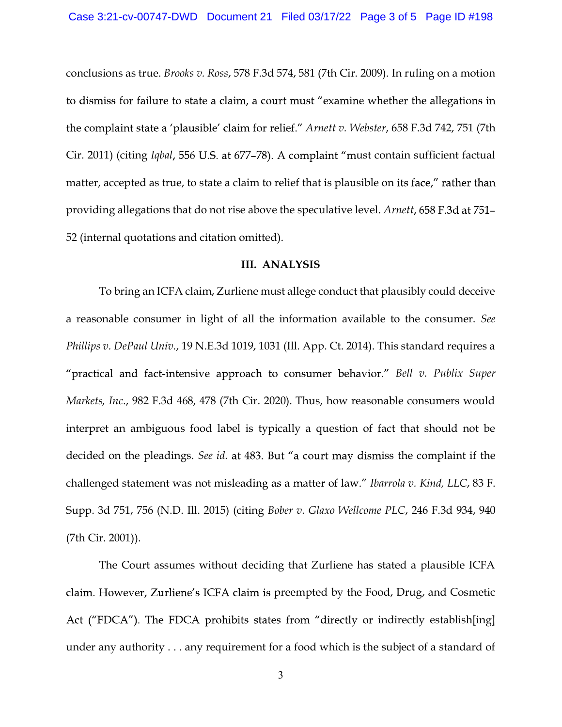conclusions as true. Brooks v. Ross, 578 F.3d 574, 581 (7th Cir. 2009). In ruling on a motion to dismiss for failure to state a claim, a court must "examine whether the allegations in the complaint state a 'plausible' claim for relief." Arnett v. Webster, 658 F.3d 742, 751 (7th Cir. 2011) (citing Iqbal, 556 U.S. at 677-78). A complaint "must contain sufficient factual matter, accepted as true, to state a claim to relief that is plausible on its face," rather than providing allegations that do not rise above the speculative level. Arnett, 658 F.3d at 751– 52 (internal quotations and citation omitted).

#### III. ANALYSIS

To bring an ICFA claim, Zurliene must allege conduct that plausibly could deceive a reasonable consumer in light of all the information available to the consumer. See Phillips v. DePaul Univ., 19 N.E.3d 1019, 1031 (Ill. App. Ct. 2014). This standard requires a "practical and fact-intensive approach to consumer behavior." Bell  $v$ . Publix Super Markets, Inc., 982 F.3d 468, 478 (7th Cir. 2020). Thus, how reasonable consumers would interpret an ambiguous food label is typically a question of fact that should not be decided on the pleadings. See id. at 483. But "a court may dismiss the complaint if the challenged statement was not misleading as a matter of law." Ibarrola v. Kind, LLC, 83 F. Supp. 3d 751, 756 (N.D. Ill. 2015) (citing Bober v. Glaxo Wellcome PLC, 246 F.3d 934, 940 (7th Cir. 2001)).

The Court assumes without deciding that Zurliene has stated a plausible ICFA claim. However, Zurliene's ICFA claim is preempted by the Food, Drug, and Cosmetic Act ("FDCA"). The FDCA prohibits states from "directly or indirectly establish[ing] under any authority . . . any requirement for a food which is the subject of a standard of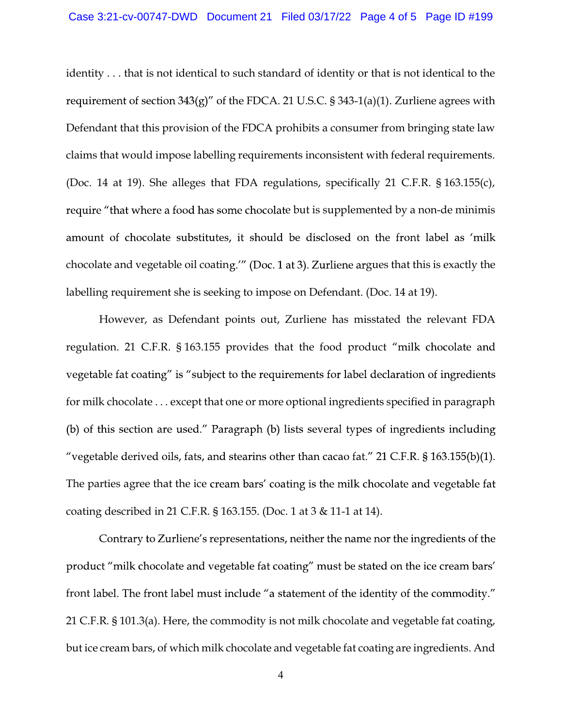identity . . . that is not identical to such standard of identity or that is not identical to the requirement of section  $343(g)$ " of the FDCA. 21 U.S.C. § 343-1(a)(1). Zurliene agrees with Defendant that this provision of the FDCA prohibits a consumer from bringing state law claims that would impose labelling requirements inconsistent with federal requirements. (Doc. 14 at 19). She alleges that FDA regulations, specifically 21 C.F.R. § 163.155(c), require "that where a food has some chocolate but is supplemented by a non-de minimis amount of chocolate substitutes, it should be disclosed on the front label as 'milk chocolate and vegetable oil coating." (Doc. 1 at 3). Zurliene argues that this is exactly the labelling requirement she is seeking to impose on Defendant. (Doc. 14 at 19).

However, as Defendant points out, Zurliene has misstated the relevant FDA regulation. 21 C.F.R. § 163.155 provides that the food product "milk chocolate and vegetable fat coating" is "subject to the requirements for label declaration of ingredients for milk chocolate . . . except that one or more optional ingredients specified in paragraph (b) of this section are used." Paragraph (b) lists several types of ingredients including "vegetable derived oils, fats, and stearins other than cacao fat." 21 C.F.R.  $\S 163.155(b)(1)$ . The parties agree that the ice cream bars' coating is the milk chocolate and vegetable fat coating described in 21 C.F.R. § 163.155. (Doc. 1 at 3 & 11-1 at 14).

Contrary to Zurliene's representations, neither the name nor the ingredients of the product "milk chocolate and vegetable fat coating" must be stated on the ice cream bars' front label. The front label must include "a statement of the identity of the commodity." 21 C.F.R. § 101.3(a). Here, the commodity is not milk chocolate and vegetable fat coating, but ice cream bars, of which milk chocolate and vegetable fat coating are ingredients. And